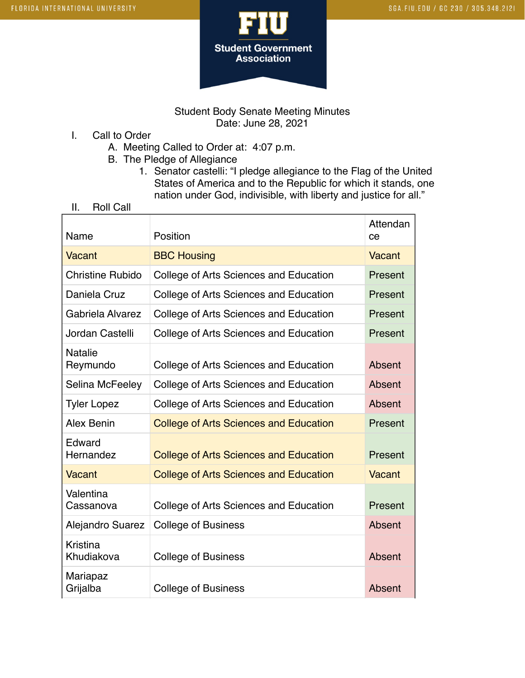



Student Body Senate Meeting Minutes Date: June 28, 2021

- I. Call to Order
	- A. Meeting Called to Order at: 4:07 p.m.
	- B. The Pledge of Allegiance
		- 1. Senator castelli: "I pledge allegiance to the Flag of the United States of America and to the Republic for which it stands, one nation under God, indivisible, with liberty and justice for all."
- II. Roll Call

| Name                       | Position                                      | Attendan<br>ce |
|----------------------------|-----------------------------------------------|----------------|
| Vacant                     | <b>BBC Housing</b>                            | Vacant         |
| <b>Christine Rubido</b>    | College of Arts Sciences and Education        | Present        |
| Daniela Cruz               | College of Arts Sciences and Education        | Present        |
| Gabriela Alvarez           | College of Arts Sciences and Education        | Present        |
| Jordan Castelli            | College of Arts Sciences and Education        | Present        |
| <b>Natalie</b><br>Reymundo | College of Arts Sciences and Education        | Absent         |
| Selina McFeeley            | College of Arts Sciences and Education        | Absent         |
| <b>Tyler Lopez</b>         | College of Arts Sciences and Education        | Absent         |
| Alex Benin                 | <b>College of Arts Sciences and Education</b> | Present        |
| Edward<br>Hernandez        | <b>College of Arts Sciences and Education</b> | Present        |
| Vacant                     | <b>College of Arts Sciences and Education</b> | Vacant         |
| Valentina<br>Cassanova     | College of Arts Sciences and Education        | Present        |
| <b>Alejandro Suarez</b>    | <b>College of Business</b>                    | Absent         |
| Kristina<br>Khudiakova     | <b>College of Business</b>                    | Absent         |
| Mariapaz<br>Grijalba       | <b>College of Business</b>                    | Absent         |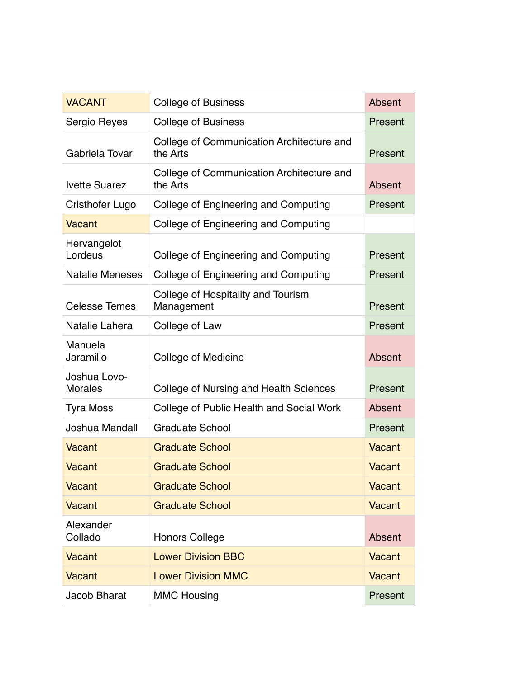| <b>VACANT</b>                  | <b>College of Business</b>                            | Absent        |
|--------------------------------|-------------------------------------------------------|---------------|
| Sergio Reyes                   | <b>College of Business</b>                            | Present       |
| Gabriela Tovar                 | College of Communication Architecture and<br>the Arts | Present       |
| <b>Ivette Suarez</b>           | College of Communication Architecture and<br>the Arts | Absent        |
| Cristhofer Lugo                | College of Engineering and Computing                  | Present       |
| Vacant                         | College of Engineering and Computing                  |               |
| Hervangelot<br>Lordeus         | College of Engineering and Computing                  | Present       |
| <b>Natalie Meneses</b>         | College of Engineering and Computing                  | Present       |
| <b>Celesse Temes</b>           | College of Hospitality and Tourism<br>Management      | Present       |
| Natalie Lahera                 | College of Law                                        | Present       |
| Manuela<br>Jaramillo           | <b>College of Medicine</b>                            | Absent        |
| Joshua Lovo-<br><b>Morales</b> | College of Nursing and Health Sciences                | Present       |
| <b>Tyra Moss</b>               | College of Public Health and Social Work              | Absent        |
| Joshua Mandall                 | <b>Graduate School</b>                                | Present       |
| Vacant                         | <b>Graduate School</b>                                | <b>Vacant</b> |
| Vacant                         | <b>Graduate School</b>                                | Vacant        |
| <b>Vacant</b>                  | <b>Graduate School</b>                                | <b>Vacant</b> |
| <b>Vacant</b>                  | <b>Graduate School</b>                                | <b>Vacant</b> |
| Alexander<br>Collado           | <b>Honors College</b>                                 | Absent        |
| <b>Vacant</b>                  | <b>Lower Division BBC</b>                             | <b>Vacant</b> |
| <b>Vacant</b>                  | <b>Lower Division MMC</b>                             | <b>Vacant</b> |
| Jacob Bharat                   | <b>MMC Housing</b>                                    | Present       |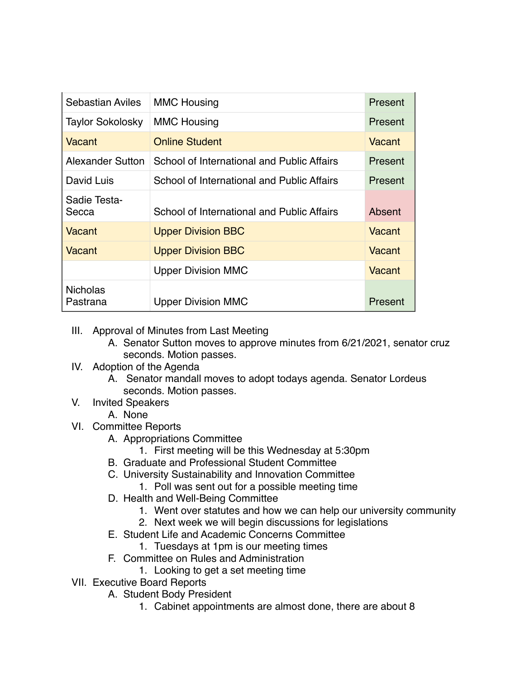| <b>Sebastian Aviles</b>     | <b>MMC Housing</b>                         | Present |
|-----------------------------|--------------------------------------------|---------|
| <b>Taylor Sokolosky</b>     | <b>MMC Housing</b>                         | Present |
| Vacant                      | <b>Online Student</b>                      | Vacant  |
| Alexander Sutton            | School of International and Public Affairs | Present |
| David Luis                  | School of International and Public Affairs | Present |
| Sadie Testa-<br>Secca       | School of International and Public Affairs | Absent  |
| Vacant                      | <b>Upper Division BBC</b>                  | Vacant  |
| Vacant                      | <b>Upper Division BBC</b>                  | Vacant  |
|                             | <b>Upper Division MMC</b>                  | Vacant  |
| <b>Nicholas</b><br>Pastrana | <b>Upper Division MMC</b>                  | Present |

- III. Approval of Minutes from Last Meeting
	- A. Senator Sutton moves to approve minutes from 6/21/2021, senator cruz seconds. Motion passes.
- IV. Adoption of the Agenda
	- A. Senator mandall moves to adopt todays agenda. Senator Lordeus seconds. Motion passes.
- V. Invited Speakers
	- A. None
- VI. Committee Reports
	- A. Appropriations Committee
		- 1. First meeting will be this Wednesday at 5:30pm
	- B. Graduate and Professional Student Committee
	- C. University Sustainability and Innovation Committee
		- 1. Poll was sent out for a possible meeting time
	- D. Health and Well-Being Committee
		- 1. Went over statutes and how we can help our university community
		- 2. Next week we will begin discussions for legislations
	- E. Student Life and Academic Concerns Committee
	- 1. Tuesdays at 1pm is our meeting times
	- F. Committee on Rules and Administration
		- 1. Looking to get a set meeting time
- VII. Executive Board Reports
	- A. Student Body President
		- 1. Cabinet appointments are almost done, there are about 8